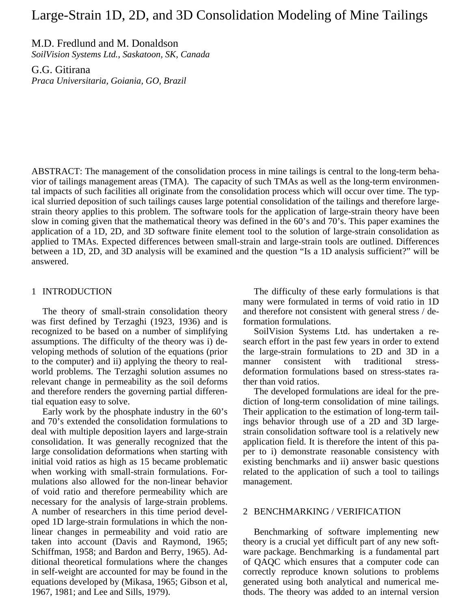# Large-Strain 1D, 2D, and 3D Consolidation Modeling of Mine Tailings

M.D. Fredlund and M. Donaldson

*SoilVision Systems Ltd., Saskatoon, SK, Canada* 

G.G. Gitirana *Praca Universitaria, Goiania, GO, Brazil* 

ABSTRACT: The management of the consolidation process in mine tailings is central to the long-term behavior of tailings management areas (TMA). The capacity of such TMAs as well as the long-term environmental impacts of such facilities all originate from the consolidation process which will occur over time. The typical slurried deposition of such tailings causes large potential consolidation of the tailings and therefore largestrain theory applies to this problem. The software tools for the application of large-strain theory have been slow in coming given that the mathematical theory was defined in the 60's and 70's. This paper examines the application of a 1D, 2D, and 3D software finite element tool to the solution of large-strain consolidation as applied to TMAs. Expected differences between small-strain and large-strain tools are outlined. Differences between a 1D, 2D, and 3D analysis will be examined and the question "Is a 1D analysis sufficient?" will be answered.

### 1 INTRODUCTION

The theory of small-strain consolidation theory was first defined by Terzaghi (1923, 1936) and is recognized to be based on a number of simplifying assumptions. The difficulty of the theory was i) developing methods of solution of the equations (prior to the computer) and ii) applying the theory to realworld problems. The Terzaghi solution assumes no relevant change in permeability as the soil deforms and therefore renders the governing partial differential equation easy to solve.

Early work by the phosphate industry in the 60's and 70's extended the consolidation formulations to deal with multiple deposition layers and large-strain consolidation. It was generally recognized that the large consolidation deformations when starting with initial void ratios as high as 15 became problematic when working with small-strain formulations. Formulations also allowed for the non-linear behavior of void ratio and therefore permeability which are necessary for the analysis of large-strain problems. A number of researchers in this time period developed 1D large-strain formulations in which the nonlinear changes in permeability and void ratio are taken into account (Davis and Raymond, 1965; Schiffman, 1958; and Bardon and Berry, 1965). Additional theoretical formulations where the changes in self-weight are accounted for may be found in the equations developed by (Mikasa, 1965; Gibson et al, 1967, 1981; and Lee and Sills, 1979).

The difficulty of these early formulations is that many were formulated in terms of void ratio in 1D and therefore not consistent with general stress / deformation formulations.

SoilVision Systems Ltd. has undertaken a research effort in the past few years in order to extend the large-strain formulations to 2D and 3D in a manner consistent with traditional stressdeformation formulations based on stress-states rather than void ratios.

The developed formulations are ideal for the prediction of long-term consolidation of mine tailings. Their application to the estimation of long-term tailings behavior through use of a 2D and 3D largestrain consolidation software tool is a relatively new application field. It is therefore the intent of this paper to i) demonstrate reasonable consistency with existing benchmarks and ii) answer basic questions related to the application of such a tool to tailings management.

#### 2 BENCHMARKING / VERIFICATION

Benchmarking of software implementing new theory is a crucial yet difficult part of any new software package. Benchmarking is a fundamental part of QAQC which ensures that a computer code can correctly reproduce known solutions to problems generated using both analytical and numerical methods. The theory was added to an internal version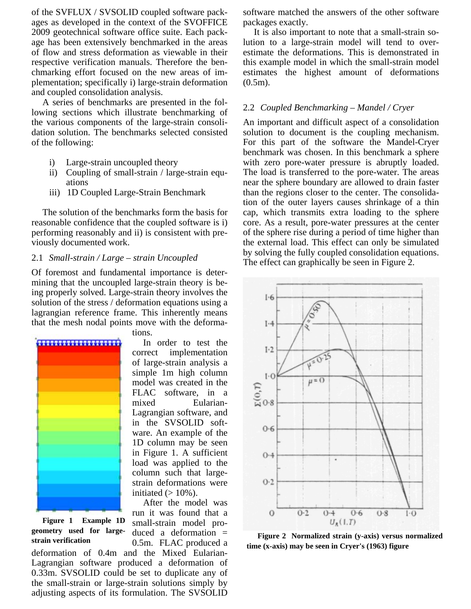of the SVFLUX / SVSOLID coupled software packages as developed in the context of the SVOFFICE 2009 geotechnical software office suite. Each package has been extensively benchmarked in the areas of flow and stress deformation as viewable in their respective verification manuals. Therefore the benchmarking effort focused on the new areas of implementation; specifically i) large-strain deformation and coupled consolidation analysis.

A series of benchmarks are presented in the following sections which illustrate benchmarking of the various components of the large-strain consolidation solution. The benchmarks selected consisted of the following:

- i) Large-strain uncoupled theory
- ii) Coupling of small-strain / large-strain equations
- iii) 1D Coupled Large-Strain Benchmark

The solution of the benchmarks form the basis for reasonable confidence that the coupled software is i) performing reasonably and ii) is consistent with previously documented work.

# 2.1 *Small-strain / Large – strain Uncoupled*

Of foremost and fundamental importance is determining that the uncoupled large-strain theory is being properly solved. Large-strain theory involves the solution of the stress / deformation equations using a lagrangian reference frame. This inherently means that the mesh nodal points move with the deforma-



**Figure 1 Example 1D geometry used for large-**

tions.

In order to test the correct implementation of large-strain analysis a simple 1m high column model was created in the FLAC software, in a mixed Eularian-Lagrangian software, and in the SVSOLID software. An example of the 1D column may be seen in Figure 1. A sufficient load was applied to the column such that largestrain deformations were initiated  $(>10\%)$ .

After the model was run it was found that a small-strain model produced a deformation = 0.5m. FLAC produced a

deformation of 0.4m and the Mixed Eularian-Lagrangian software produced a deformation of 0.33m. SVSOLID could be set to duplicate any of the small-strain or large-strain solutions simply by adjusting aspects of its formulation. The SVSOLID software matched the answers of the other software packages exactly.

It is also important to note that a small-strain solution to a large-strain model will tend to overestimate the deformations. This is demonstrated in this example model in which the small-strain model estimates the highest amount of deformations  $(0.5m)$ .

# 2.2 *Coupled Benchmarking – Mandel / Cryer*

An important and difficult aspect of a consolidation solution to document is the coupling mechanism. For this part of the software the Mandel-Cryer benchmark was chosen. In this benchmark a sphere with zero pore-water pressure is abruptly loaded. The load is transferred to the pore-water. The areas near the sphere boundary are allowed to drain faster than the regions closer to the center. The consolidation of the outer layers causes shrinkage of a thin cap, which transmits extra loading to the sphere core. As a result, pore-water pressures at the center of the sphere rise during a period of time higher than the external load. This effect can only be simulated by solving the fully coupled consolidation equations. The effect can graphically be seen in Figure 2.



**strain verification Figure 2** Normalized strain (y-axis) versus normalized strain verification  $\begin{bmatrix} 0.5 \text{m} \end{bmatrix}$  **Figure 2** Normalized strain (y-axis) versus normalized **time (x-axis) may be seen in Cryer's (1963) figure**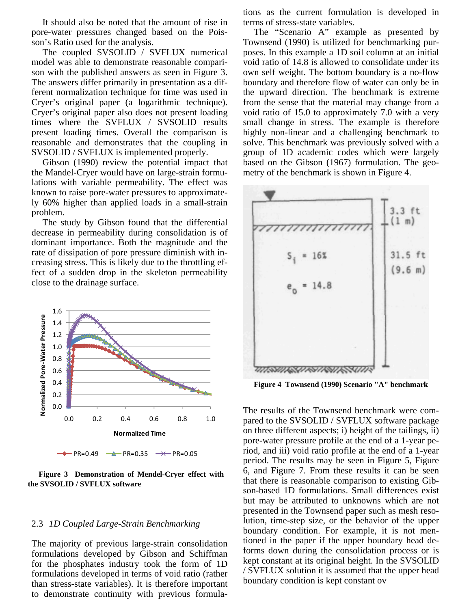It should also be noted that the amount of rise in pore-water pressures changed based on the Poisson's Ratio used for the analysis.

The coupled SVSOLID / SVFLUX numerical model was able to demonstrate reasonable comparison with the published answers as seen in Figure 3. The answers differ primarily in presentation as a different normalization technique for time was used in Cryer's original paper (a logarithmic technique). Cryer's original paper also does not present loading times where the SVFLUX / SVSOLID results present loading times. Overall the comparison is reasonable and demonstrates that the coupling in SVSOLID / SVFLUX is implemented properly.

Gibson (1990) review the potential impact that the Mandel-Cryer would have on large-strain formulations with variable permeability. The effect was known to raise pore-water pressures to approximately 60% higher than applied loads in a small-strain problem.

The study by Gibson found that the differential decrease in permeability during consolidation is of dominant importance. Both the magnitude and the rate of dissipation of pore pressure diminish with increasing stress. This is likely due to the throttling effect of a sudden drop in the skeleton permeability close to the drainage surface.



**Figure 3 Demonstration of Mendel-Cryer effect with the SVSOLID / SVFLUX software**

### 2.3 *1D Coupled Large-Strain Benchmarking*

The majority of previous large-strain consolidation formulations developed by Gibson and Schiffman for the phosphates industry took the form of 1D formulations developed in terms of void ratio (rather than stress-state variables). It is therefore important to demonstrate continuity with previous formulations as the current formulation is developed in terms of stress-state variables.

The "Scenario A" example as presented by Townsend (1990) is utilized for benchmarking purposes. In this example a 1D soil column at an initial void ratio of 14.8 is allowed to consolidate under its own self weight. The bottom boundary is a no-flow boundary and therefore flow of water can only be in the upward direction. The benchmark is extreme from the sense that the material may change from a void ratio of 15.0 to approximately 7.0 with a very small change in stress. The example is therefore highly non-linear and a challenging benchmark to solve. This benchmark was previously solved with a group of 1D academic codes which were largely based on the Gibson (1967) formulation. The geometry of the benchmark is shown in Figure 4.



**Figure 4 Townsend (1990) Scenario "A" benchmark**

The results of the Townsend benchmark were compared to the SVSOLID / SVFLUX software package on three different aspects; i) height of the tailings, ii) pore-water pressure profile at the end of a 1-year period, and iii) void ratio profile at the end of a 1-year period. The results may be seen in Figure 5, Figure 6, and Figure 7. From these results it can be seen that there is reasonable comparison to existing Gibson-based 1D formulations. Small differences exist but may be attributed to unknowns which are not presented in the Townsend paper such as mesh resolution, time-step size, or the behavior of the upper boundary condition. For example, it is not mentioned in the paper if the upper boundary head deforms down during the consolidation process or is kept constant at its original height. In the SVSOLID / SVFLUX solution it is assumed that the upper head boundary condition is kept constant ov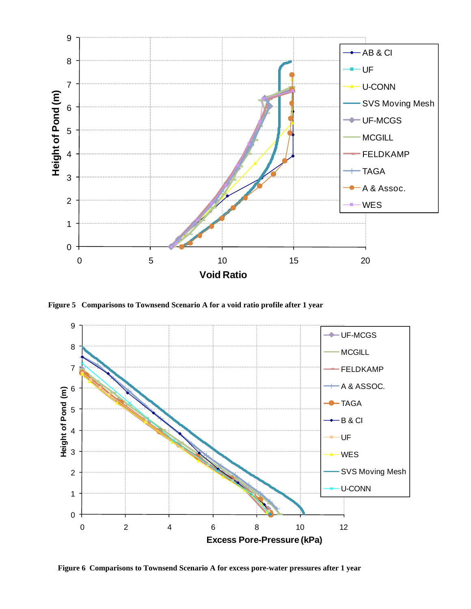

**Figure 5 Comparisons to Townsend Scenario A for a void ratio profile after 1 year**



**Figure 6 Comparisons to Townsend Scenario A for excess pore-water pressures after 1 year**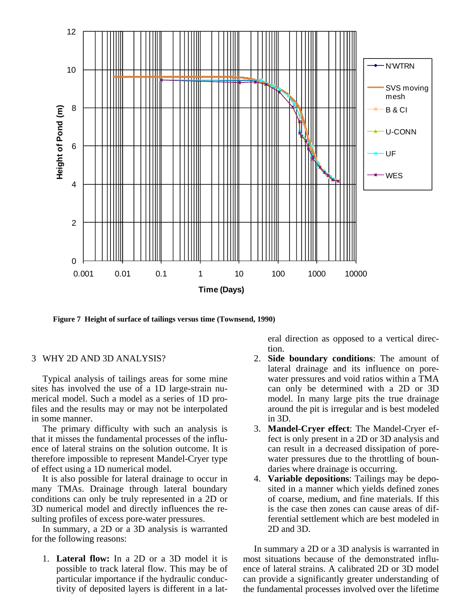

**Figure 7 Height of surface of tailings versus time (Townsend, 1990)**

# 3 WHY 2D AND 3D ANALYSIS?

Typical analysis of tailings areas for some mine sites has involved the use of a 1D large-strain numerical model. Such a model as a series of 1D profiles and the results may or may not be interpolated in some manner.

The primary difficulty with such an analysis is that it misses the fundamental processes of the influence of lateral strains on the solution outcome. It is therefore impossible to represent Mandel-Cryer type of effect using a 1D numerical model.

It is also possible for lateral drainage to occur in many TMAs. Drainage through lateral boundary conditions can only be truly represented in a 2D or 3D numerical model and directly influences the resulting profiles of excess pore-water pressures.

In summary, a 2D or a 3D analysis is warranted for the following reasons:

1. **Lateral flow:** In a 2D or a 3D model it is possible to track lateral flow. This may be of particular importance if the hydraulic conductivity of deposited layers is different in a lateral direction as opposed to a vertical direction.

- 2. **Side boundary conditions**: The amount of lateral drainage and its influence on porewater pressures and void ratios within a TMA can only be determined with a 2D or 3D model. In many large pits the true drainage around the pit is irregular and is best modeled in 3D.
- 3. **Mandel-Cryer effect**: The Mandel-Cryer effect is only present in a 2D or 3D analysis and can result in a decreased dissipation of porewater pressures due to the throttling of boundaries where drainage is occurring.
- 4. **Variable depositions**: Tailings may be deposited in a manner which yields defined zones of coarse, medium, and fine materials. If this is the case then zones can cause areas of differential settlement which are best modeled in 2D and 3D.

In summary a 2D or a 3D analysis is warranted in most situations because of the demonstrated influence of lateral strains. A calibrated 2D or 3D model can provide a significantly greater understanding of the fundamental processes involved over the lifetime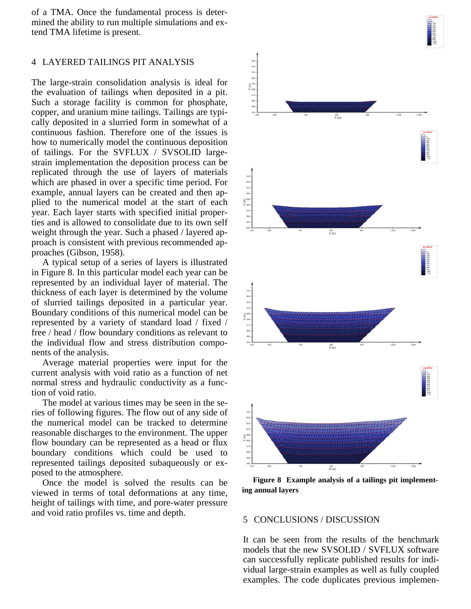of a TMA. Once the fundamental process is determined the ability to run multiple simulations and extend TMA lifetime is present.

#### 4 LAYERED TAILINGS PIT ANALYSIS

The large-strain consolidation analysis is ideal for the evaluation of tailings when deposited in a pit. Such a storage facility is common for phosphate, copper, and uranium mine tailings. Tailings are typically deposited in a slurried form in somewhat of a continuous fashion. Therefore one of the issues is how to numerically model the continuous deposition of tailings. For the SVFLUX / SVSOLID largestrain implementation the deposition process can be replicated through the use of layers of materials which are phased in over a specific time period. For example, annual layers can be created and then applied to the numerical model at the start of each year. Each layer starts with specified initial properties and is allowed to consolidate due to its own self weight through the year. Such a phased / layered approach is consistent with previous recommended approaches (Gibson, 1958).

A typical setup of a series of layers is illustrated in Figure 8. In this particular model each year can be represented by an individual layer of material. The thickness of each layer is determined by the volume of slurried tailings deposited in a particular year. Boundary conditions of this numerical model can be represented by a variety of standard load / fixed / free / head / flow boundary conditions as relevant to the individual flow and stress distribution components of the analysis.

Average material properties were input for the current analysis with void ratio as a function of net normal stress and hydraulic conductivity as a function of void ratio.

The model at various times may be seen in the series of following figures. The flow out of any side of the numerical model can be tracked to determine reasonable discharges to the environment. The upper flow boundary can be represented as a head or flux boundary conditions which could be used to represented tailings deposited subaqueously or exposed to the atmosphere.

Once the model is solved the results can be viewed in terms of total deformations at any time, height of tailings with time, and pore-water pressure and void ratio profiles vs. time and depth.<br>5 CONCLUSIONS / DISCUSSION



**Figure 8 Example analysis of a tailings pit implementing annual layers**

It can be seen from the results of the benchmark models that the new SVSOLID / SVFLUX software can successfully replicate published results for individual large-strain examples as well as fully coupled examples. The code duplicates previous implemen